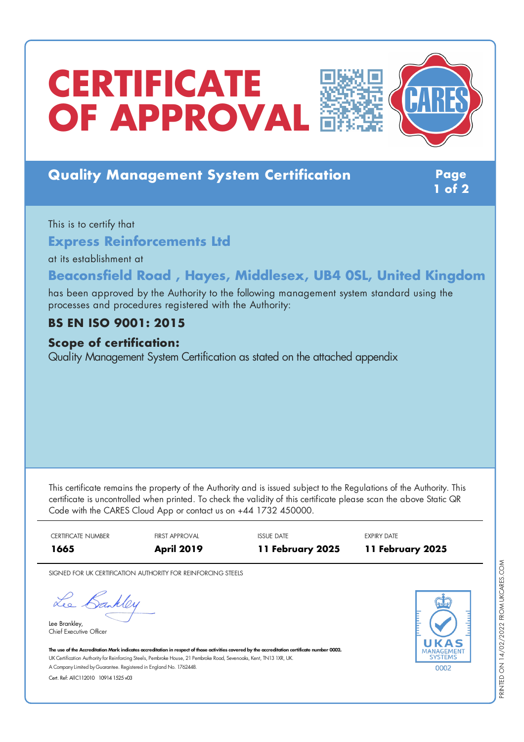# **CERTIFICATE OF APPROVAL**





## **Quality Management System Certification Page**

**1 of 2**

This is to certify that

**Express Reinforcements Ltd**

at its establishment at

## **Beaconsfield Road , Hayes, Middlesex, UB4 0SL, United Kingdom**

has been approved by the Authority to the following management system standard using the processes and procedures registered with the Authority:

### **BS EN ISO 9001: 2015**

#### **Scope of certification:**

Quality Management System Certification as stated on the attached appendix

This certificate remains the property of the Authority and is issued subject to the Regulations of the Authority. This certificate is uncontrolled when printed. To check the validity of this certificate please scan the above Static QR Code with the CARES Cloud App or contact us on +44 1732 450000.

| <b>CERTIFICATE NUMBER</b> | FIRST APPROVAL    | <b>ISSUE DATE</b> | <b>EXPIRY DATE</b> |
|---------------------------|-------------------|-------------------|--------------------|
| 1665                      | <b>April 2019</b> | 11 February 2025  | 11 February 2025   |

SIGNED FOR UK CERTIFICATION AUTHORITY FOR REINFORCING STEELS

Lee Bankley

Lee Brankley, Chief Executive Officer



The use of the Accreditation Mark indicates accreditation in respect of those activities covered by the accreditation certificate number 0002. UK Certification Authority for Reinforcing Steels, Pembroke House, 21 Pembroke Road, Sevenoaks, Kent, TN13 1XR, UK. A CompanyLimited byGuarantee. Registered in England No. 1762448.

Cert. Ref: AllC112010 10914 1525 v03